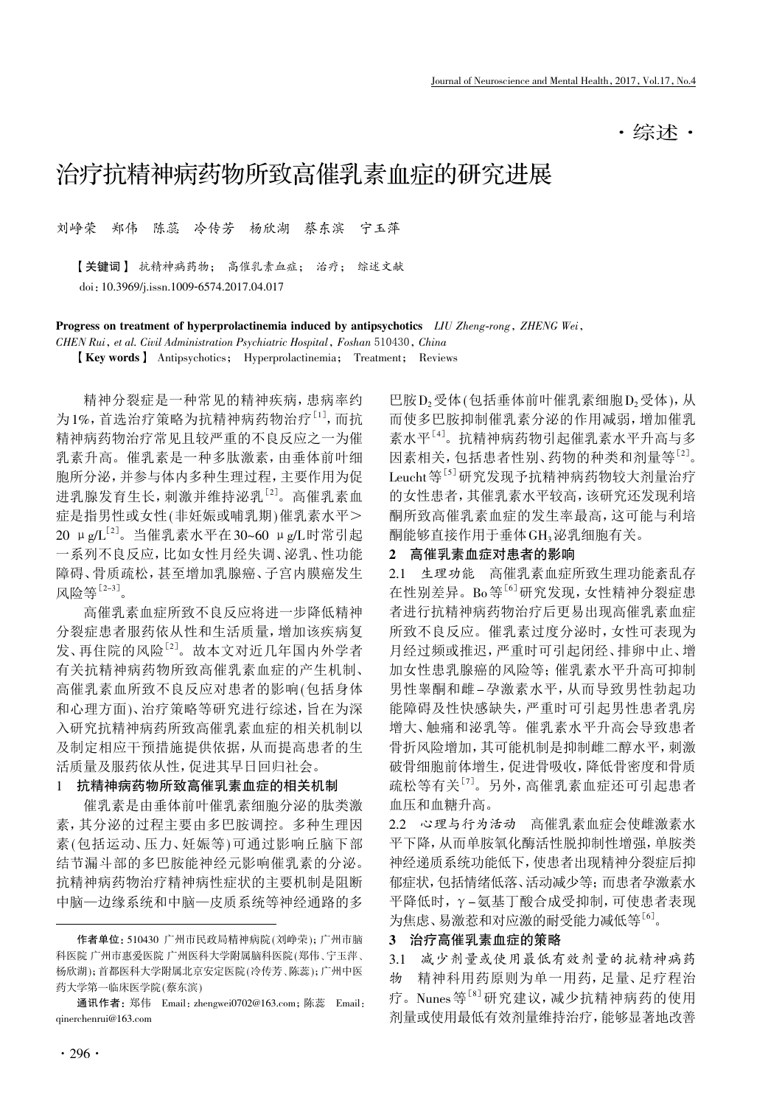·综述·

# 治疗抗精神病药物所致高催乳素血症的研究进展

刘峥荣 郑伟 陈蕊 冷传芳 杨欣湖 蔡东滨 宁玉萍

【关键词】 抗精神病药物; 高催乳素血症; 治疗; 综述文献 doi:10.3969/j.issn.1009-6574.2017.04.017

Progress on treatment of hyperprolactinemia induced by antipsychotics LIU Zheng-rong, ZHENG Wei,

CHEN Rui, et al. Civil Administration Psychiatric Hospital, Foshan 510430, China

【Key words】 Antipsychotics; Hyperprolactinemia; Treatment; Reviews

精神分裂症是一种常见的精神疾病,患病率约 为1%, 首选治疗策略为抗精神病药物治疗<sup>[1]</sup>, 而抗 精神病药物治疗常见且较严重的不良反应之一为催 乳素升高。催乳素是一种多肽激素,由垂体前叶细 胞所分泌,并参与体内多种生理过程,主要作用为促 进乳腺发育生长,刺激并维持泌乳[2] 。高催乳素血 症是指男性或女性(非妊娠或哺乳期)催乳素水平> 20 μg/L<sup>[2]</sup>。当催乳素水平在30~60 μg/L时常引起 一系列不良反应,比如女性月经失调、泌乳、性功能 障碍、骨质疏松,甚至增加乳腺癌、子宫内膜癌发生 风险等<sup>[2-3]</sup>。

高催乳素血症所致不良反应将进一步降低精神 分裂症患者服药依从性和生活质量,增加该疾病复 发、再住院的风险[2] 。故本文对近几年国内外学者 有关抗精神病药物所致高催乳素血症的产生机制、 高催乳素血所致不良反应对患者的影响(包括身体 和心理方面)、治疗策略等研究进行综述,旨在为深 入研究抗精神病药所致高催乳素血症的相关机制以 及制定相应干预措施提供依据,从而提高患者的生 活质量及服药依从性,促进其早日回归社会。

## 1 抗精神病药物所致高催乳素血症的相关机制

催乳素是由垂体前叶催乳素细胞分泌的肽类激 素,其分泌的过程主要由多巴胺调控。多种生理因 素(包括运动、压力、妊娠等)可通过影响丘脑下部 结节漏斗部的多巴胺能神经元影响催乳素的分泌。 抗精神病药物治疗精神病性症状的主要机制是阻断 中脑—边缘系统和中脑—皮质系统等神经通路的多

巴胺 $D_2$ 受体(包括垂体前叶催乳素细胞 $D_2$ 受体),从 而使多巴胺抑制催乳素分泌的作用减弱,增加催乳 素水平<sup>[4]</sup>。抗精神病药物引起催乳素水平升高与多 因素相关,包括患者性别、药物的种类和剂量等<sup>[2]</sup>。 Leucht等 $^{[5]}$ 研究发现予抗精神病药物较大剂量治疗 的女性患者,其催乳素水平较高,该研究还发现利培 酮所致高催乳素血症的发生率最高,这可能与利培 酮能够直接作用于垂体GH3泌乳细胞有关。

## 2 高催乳素血症对患者的影响

2.1 生理功能 高催乳素血症所致生理功能紊乱存 在性别差异。Bo等<sup>[6]</sup>研究发现, 女性精神分裂症患 者进行抗精神病药物治疗后更易出现高催乳素血症 所致不良反应。催乳素过度分泌时,女性可表现为 月经过频或推迟,严重时可引起闭经、排卵中止、增 加女性患乳腺癌的风险等;催乳素水平升高可抑制 男性睾酮和雌-孕激素水平,从而导致男性勃起功 能障碍及性快感缺失,严重时可引起男性患者乳房 增大、触痛和泌乳等。催乳素水平升高会导致患者 骨折风险增加,其可能机制是抑制雌二醇水平,刺激 破骨细胞前体增生,促进骨吸收,降低骨密度和骨质 疏松等有关<sup>[7]</sup>。另外, 高催乳素血症还可引起患者 血压和血糖升高。

2.2 心理与行为活动 高催乳素血症会使雌激素水 平下降,从而单胺氧化酶活性脱抑制性增强,单胺类 神经递质系统功能低下,使患者出现精神分裂症后抑 郁症状,包括情绪低落、活动减少等;而患者孕激素水 平降低时,γ-氨基丁酸合成受抑制,可使患者表现 为焦虑、易激惹和对应激的耐受能力减低等[6]。

## 3 治疗高催乳素血症的策略

3.1 减少剂量或使用最低有效剂量的抗精神病药

物 精神科用药原则为单一用药,足量、足疗程治 疗。Nunes等[8]研究建议,减少抗精神病药的使用 剂量或使用最低有效剂量维持治疗,能够显著地改善

作者单位: 510430 广州市民政局精神病院(刘峥荣);广州市脑 科医院 广州市惠爱医院 广州医科大学附属脑科医院(郑伟、宁玉萍、 杨欣湖);首都医科大学附属北京安定医院( 冷传芳、陈蕊 );广州中医 药大学第一临床医学院 (蔡东滨)

通讯作者:郑伟 Email:zhengwei0702@163.com;陈蕊 Email: qinerchenrui@163.com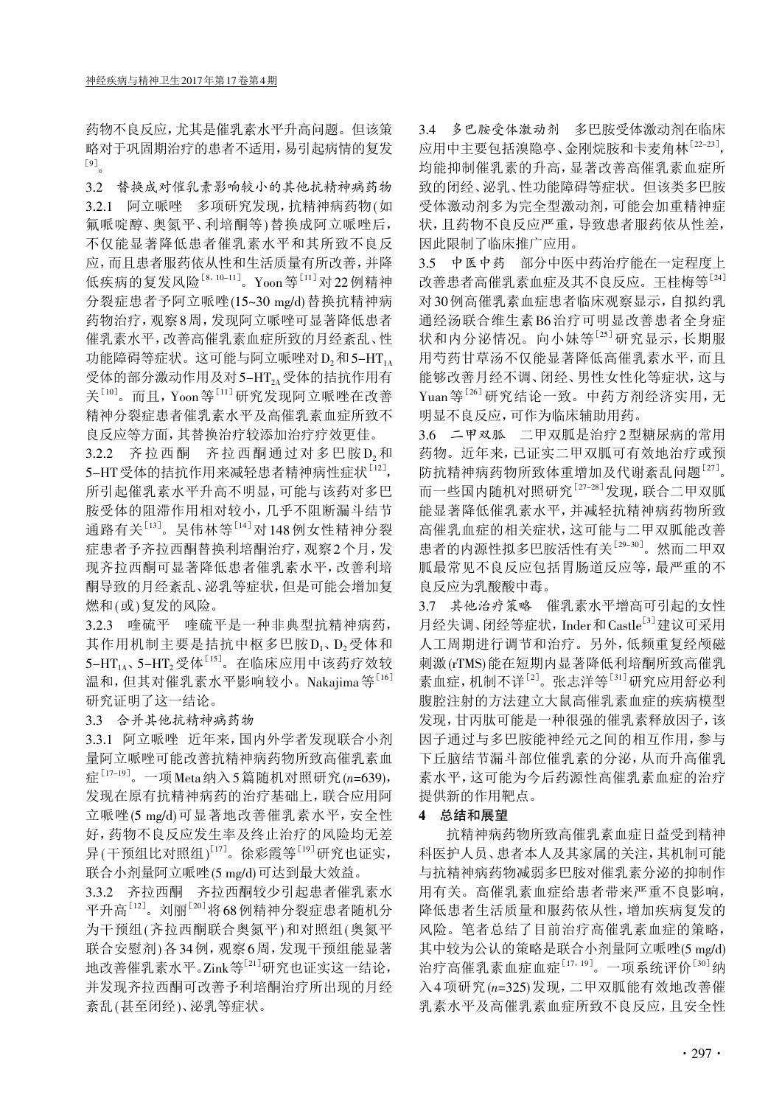药物不良反应,尤其是催乳素水平升高问题。但该策 略对于巩固期治疗的患者不适用,易引起病情的复发 [9] 。

3.2 替换成对催乳素影响较小的其他抗精神病药物 3.2.1 阿立哌唑 多项研究发现,抗精神病药物(如 氟哌啶醇、奥氮平、利培酮等)替换成阿立哌唑后, 不仅能显著降低患者催乳素水平和其所致不良反 应,而且患者服药依从性和生活质量有所改善,并降 低疾病的复发风险<sup>[8,10–11]</sup>。Yoon等<sup>[11]</sup>对22例精神 分裂症患者予阿立哌唑(15~30 mg/d)替换抗精神病 药物治疗,观察8周,发现阿立哌唑可显著降低患者 催乳素水平,改善高催乳素血症所致的月经紊乱、性 功能障碍等症状。这可能与阿立哌唑对 $D_2$ 和5-HT<sub>1A</sub> 受体的部分激动作用及对5-HT2A受体的拮抗作用有 关[10]。而且, Yoon等[11]研究发现阿立哌唑在改善 精神分裂症患者催乳素水平及高催乳素血症所致不 良反应等方面,其替换治疗较添加治疗疗效更佳。

3.2.2 齐拉西酮 齐拉西酮通过对多巴胺D<sub>2</sub>和 5-HT受体的拮抗作用来减轻患者精神病性症状<sup>[12]</sup>, 所引起催乳素水平升高不明显,可能与该药对多巴 胺受体的阻滞作用相对较小,几乎不阻断漏斗结节 通路有关 $^{[13]}$ 。吴伟林等 $^{[14]}$ 对148例女性精神分裂 症患者予齐拉西酮替换利培酮治疗,观察2个月,发 现齐拉西酮可显著降低患者催乳素水平,改善利培 酮导致的月经紊乱、泌乳等症状,但是可能会增加复 燃和(或)复发的风险。

3.2.3 喹硫平 喹硫平是一种非典型抗精神病药, 其作用机制主要是拮抗中枢多巴胺D1、D2受体和 5–HT<sub>1A</sub>、5–HT<sub>2</sub>受体<sup>[15]</sup>。在临床应用中该药疗效较 温和,但其对催乳素水平影响较小。Nakajima等[16] 研究证明了这一结论。

3.3 合并其他抗精神病药物

3.3.1 阿立哌唑 近年来,国内外学者发现联合小剂 量阿立哌唑可能改善抗精神病药物所致高催乳素血 症[17-19]。一项Meta纳入5篇随机对照研究(n=639), 发现在原有抗精神病药的治疗基础上,联合应用阿 立哌唑(5 mg/d)可显著地改善催乳素水平,安全性 好,药物不良反应发生率及终止治疗的风险均无差 异(干预组比对照组)<sup>[17]</sup>。徐彩霞等<sup>[19]</sup>研究也证实, 联合小剂量阿立哌唑(5 mg/d)可达到最大效益。

3.3.2 齐拉西酮 齐拉西酮较少引起患者催乳素水 平升高[12]。刘丽[20]将68例精神分裂症患者随机分 为干预组(齐拉西酮联合奥氮平)和对照组(奥氮平 联合安慰剂)各34例,观察6周,发现干预组能显著 地改善催乳素水平。Zink等<sup>[21]</sup>研究也证实这一结论, 并发现齐拉西酮可改善予利培酮治疗所出现的月经 紊乱(甚至闭经)、泌乳等症状。

3.4 多巴胺受体激动剂 多巴胺受体激动剂在临床 应用中主要包括溴隐亭、金刚烷胺和卡麦角林[22-23] , 均能抑制催乳素的升高,显著改善高催乳素血症所 致的闭经、泌乳、性功能障碍等症状。但该类多巴胺 受体激动剂多为完全型激动剂,可能会加重精神症 状,且药物不良反应严重,导致患者服药依从性差, 因此限制了临床推广应用。

3.5 中医中药 部分中医中药治疗能在一定程度上 改善患者高催乳素血症及其不良反应。王桂梅等[24] 对30例高催乳素血症患者临床观察显示,自拟约乳 通经汤联合维生素B6治疗可明显改善患者全身症 状和内分泌情况。向小妹等[25]研究显示,长期服 用芍药甘草汤不仅能显著降低高催乳素水平,而且 能够改善月经不调、闭经、男性女性化等症状,这与 Yuan等<sup>[26]</sup>研究结论一致。中药方剂经济实用,无 明显不良反应,可作为临床辅助用药。

3.6 二甲双胍 二甲双胍是治疗2型糖尿病的常用 药物。近年来,已证实二甲双胍可有效地治疗或预 防抗精神病药物所致体重增加及代谢紊乱问题[27]。 而一些国内随机对照研究<sup>[27-28]</sup>发现, 联合二甲双胍 能显著降低催乳素水平,并减轻抗精神病药物所致 高催乳血症的相关症状,这可能与二甲双胍能改善 患者的内源性拟多巴胺活性有关[29-30] 。然而二甲双 胍最常见不良反应包括胃肠道反应等,最严重的不 良反应为乳酸酸中毒。

3.7 其他治疗策略 催乳素水平增高可引起的女性 月经失调、闭经等症状, Inder和 Castle<sup>[3]</sup>建议可采用 人工周期进行调节和治疗。另外,低频重复经颅磁 刺激(rTMS)能在短期内显著降低利培酮所致高催乳 素血症,机制不详<sup>[2]</sup>。张志洋等<sup>[31]</sup>研究应用舒必利 腹腔注射的方法建立大鼠高催乳素血症的疾病模型 发现,甘丙肽可能是一种很强的催乳素释放因子,该 因子通过与多巴胺能神经元之间的相互作用,参与 下丘脑结节漏斗部位催乳素的分泌,从而升高催乳 素水平,这可能为今后药源性高催乳素血症的治疗 提供新的作用靶点。

### 4 总结和展望

抗精神病药物所致高催乳素血症日益受到精神 科医护人员、患者本人及其家属的关注,其机制可能 与抗精神病药物减弱多巴胺对催乳素分泌的抑制作 用有关。高催乳素血症给患者带来严重不良影响, 降低患者生活质量和服药依从性,增加疾病复发的 风险。笔者总结了目前治疗高催乳素血症的策略, 其中较为公认的策略是联合小剂量阿立哌唑(5 mg/d) 治疗高催乳素血症血症<sup>[17,19]</sup>。一项系统评价<sup>[30]</sup>纳 入4项研究(n=325)发现,二甲双胍能有效地改善催 乳素水平及高催乳素血症所致不良反应,且安全性